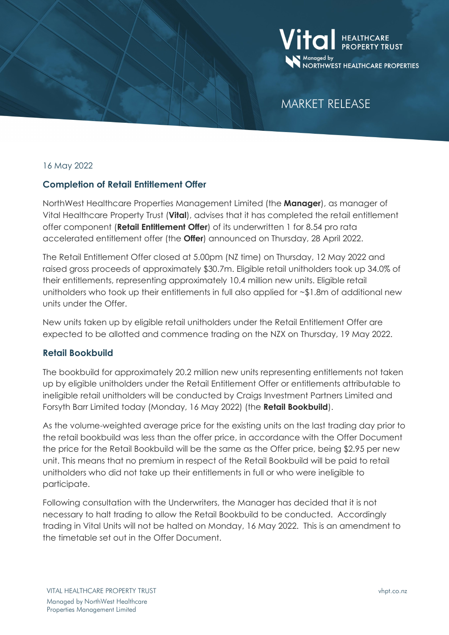

# MARKET RELEASE

### 16 May 2022

### **Completion of Retail Entitlement Offer**

NorthWest Healthcare Properties Management Limited (the **Manager**), as manager of Vital Healthcare Property Trust (**Vital**), advises that it has completed the retail entitlement offer component (**Retail Entitlement Offer**) of its underwritten 1 for 8.54 pro rata accelerated entitlement offer (the **Offer**) announced on Thursday, 28 April 2022.

The Retail Entitlement Offer closed at 5.00pm (NZ time) on Thursday, 12 May 2022 and raised gross proceeds of approximately \$30.7m. Eligible retail unitholders took up 34.0% of their entitlements, representing approximately 10.4 million new units. Eligible retail unitholders who took up their entitlements in full also applied for ~\$1.8m of additional new units under the Offer.

New units taken up by eligible retail unitholders under the Retail Entitlement Offer are expected to be allotted and commence trading on the NZX on Thursday, 19 May 2022.

### **Retail Bookbuild**

The bookbuild for approximately 20.2 million new units representing entitlements not taken up by eligible unitholders under the Retail Entitlement Offer or entitlements attributable to ineligible retail unitholders will be conducted by Craigs Investment Partners Limited and Forsyth Barr Limited today (Monday, 16 May 2022) (the **Retail Bookbuild**).

As the volume-weighted average price for the existing units on the last trading day prior to the retail bookbuild was less than the offer price, in accordance with the Offer Document the price for the Retail Bookbuild will be the same as the Offer price, being \$2.95 per new unit. This means that no premium in respect of the Retail Bookbuild will be paid to retail unitholders who did not take up their entitlements in full or who were ineligible to participate.

Following consultation with the Underwriters, the Manager has decided that it is not necessary to halt trading to allow the Retail Bookbuild to be conducted. Accordingly trading in Vital Units will not be halted on Monday, 16 May 2022. This is an amendment to the timetable set out in the Offer Document.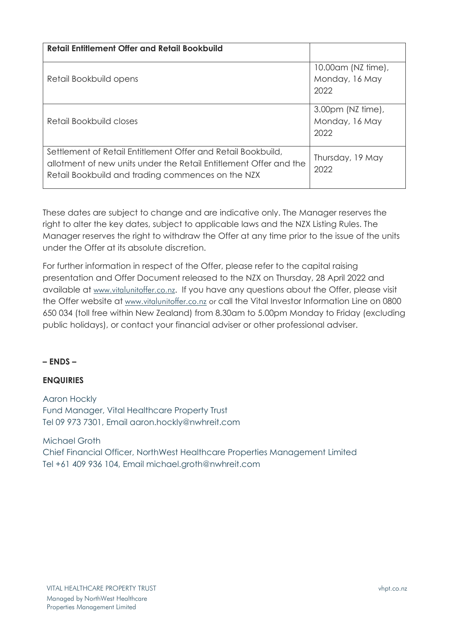| <b>Retail Entitlement Offer and Retail Bookbuild</b>                                                                                                                                   |                                                       |
|----------------------------------------------------------------------------------------------------------------------------------------------------------------------------------------|-------------------------------------------------------|
| Retail Bookbuild opens                                                                                                                                                                 | 10.00 am (NZ time),<br>Monday, 16 May<br>2022         |
| Retail Bookbuild closes                                                                                                                                                                | $3.00 \text{pm}$ (NZ time),<br>Monday, 16 May<br>2022 |
| Settlement of Retail Entitlement Offer and Retail Bookbuild,<br>allotment of new units under the Retail Entitlement Offer and the<br>Retail Bookbuild and trading commences on the NZX | Thursday, 19 May<br>2022                              |

These dates are subject to change and are indicative only. The Manager reserves the right to alter the key dates, subject to applicable laws and the NZX Listing Rules. The Manager reserves the right to withdraw the Offer at any time prior to the issue of the units under the Offer at its absolute discretion.

For further information in respect of the Offer, please refer to the capital raising presentation and Offer Document released to the NZX on Thursday, 28 April 2022 and available at [www.vitalunitoffer.co.nz](http://www.vitalunitoffer.co.nz/). If you have any questions about the Offer, please visit the Offer website at [www.vitalunitoffer.co.nz](http://www.vitalunitoffer.co.nz/) or call the Vital Investor Information Line on 0800 650 034 (toll free within New Zealand) from 8.30am to 5.00pm Monday to Friday (excluding public holidays), or contact your financial adviser or other professional adviser.

## **– ENDS –**

## **ENQUIRIES**

Aaron Hockly Fund Manager, Vital Healthcare Property Trust Tel 09 973 7301, Email aaron.hockly@nwhreit.com

Michael Groth Chief Financial Officer, NorthWest Healthcare Properties Management Limited Tel +61 409 936 104, Email michael.groth@nwhreit.com